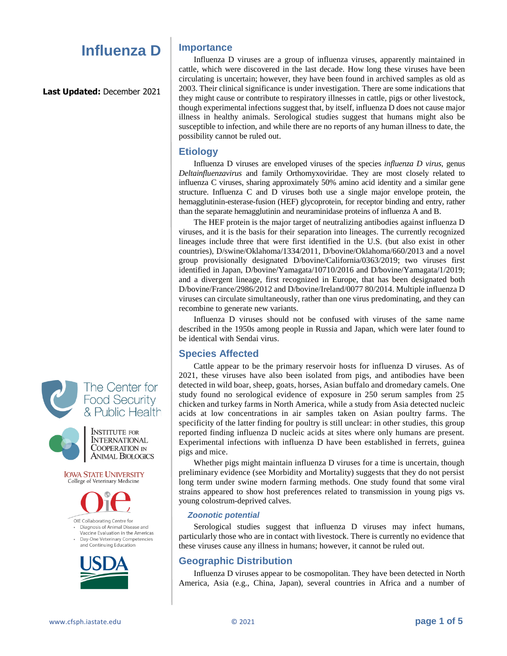# **Influenza D**

**Last Updated:** December 2021



**IOWA STATE UNIVERSITY** College of Veterinary Medicine

**ANIMAL BIOLOGICS** 



OIE Collaborating Centre for Diagnosis of Animal Disease and Vaccine Evaluation in the Americas

Day-One Veterinary Competencies and Continuing Education



## **Importance**

Influenza D viruses are a group of influenza viruses, apparently maintained in cattle, which were discovered in the last decade. How long these viruses have been circulating is uncertain; however, they have been found in archived samples as old as 2003. Their clinical significance is under investigation. There are some indications that they might cause or contribute to respiratory illnesses in cattle, pigs or other livestock, though experimental infections suggest that, by itself, influenza D does not cause major illness in healthy animals. Serological studies suggest that humans might also be susceptible to infection, and while there are no reports of any human illness to date, the possibility cannot be ruled out.

### **Etiology**

Influenza D viruses are enveloped viruses of the species *influenza D virus*, genus *Deltainfluenzavirus* and family Orthomyxoviridae. They are most closely related to influenza C viruses, sharing approximately 50% amino acid identity and a similar gene structure. Influenza C and D viruses both use a single major envelope protein, the hemagglutinin-esterase-fusion (HEF) glycoprotein, for receptor binding and entry, rather than the separate hemagglutinin and neuraminidase proteins of influenza A and B.

The HEF protein is the major target of neutralizing antibodies against influenza D viruses, and it is the basis for their separation into lineages. The currently recognized lineages include three that were first identified in the U.S. (but also exist in other countries), D/swine/Oklahoma/1334/2011, D/bovine/Oklahoma/660/2013 and a novel group provisionally designated D/bovine/California/0363/2019; two viruses first identified in Japan, D/bovine/Yamagata/10710/2016 and D/bovine/Yamagata/1/2019; and a divergent lineage, first recognized in Europe, that has been designated both D/bovine/France/2986/2012 and D/bovine/Ireland/0077 80/2014. Multiple influenza D viruses can circulate simultaneously, rather than one virus predominating, and they can recombine to generate new variants.

Influenza D viruses should not be confused with viruses of the same name described in the 1950s among people in Russia and Japan, which were later found to be identical with Sendai virus.

## **Species Affected**

Cattle appear to be the primary reservoir hosts for influenza D viruses. As of 2021, these viruses have also been isolated from pigs, and antibodies have been detected in wild boar, sheep, goats, horses, Asian buffalo and dromedary camels. One study found no serological evidence of exposure in 250 serum samples from 25 chicken and turkey farms in North America, while a study from Asia detected nucleic acids at low concentrations in air samples taken on Asian poultry farms. The specificity of the latter finding for poultry is still unclear: in other studies, this group reported finding influenza D nucleic acids at sites where only humans are present. Experimental infections with influenza D have been established in ferrets, guinea pigs and mice.

Whether pigs might maintain influenza D viruses for a time is uncertain, though preliminary evidence (see Morbidity and Mortality) suggests that they do not persist long term under swine modern farming methods. One study found that some viral strains appeared to show host preferences related to transmission in young pigs vs. young colostrum-deprived calves.

### *Zoonotic potential*

Serological studies suggest that influenza D viruses may infect humans, particularly those who are in contact with livestock. There is currently no evidence that these viruses cause any illness in humans; however, it cannot be ruled out.

## **Geographic Distribution**

Influenza D viruses appear to be cosmopolitan. They have been detected in North America, Asia (e.g., China, Japan), several countries in Africa and a number of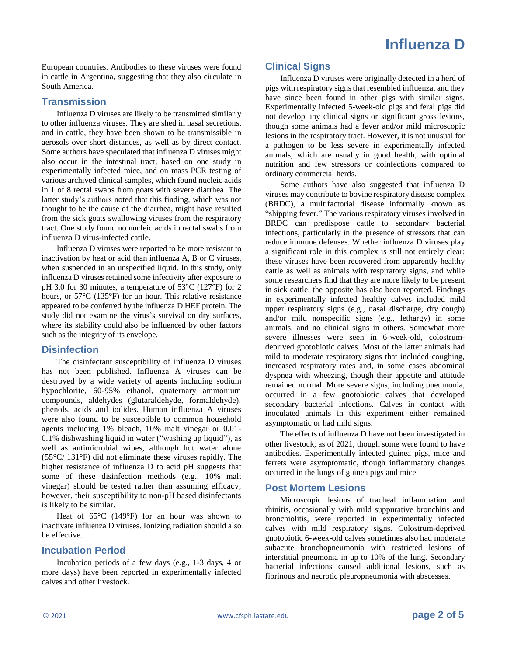European countries. Antibodies to these viruses were found in cattle in Argentina, suggesting that they also circulate in South America.

## **Transmission**

Influenza D viruses are likely to be transmitted similarly to other influenza viruses. They are shed in nasal secretions, and in cattle, they have been shown to be transmissible in aerosols over short distances, as well as by direct contact. Some authors have speculated that influenza D viruses might also occur in the intestinal tract, based on one study in experimentally infected mice, and on mass PCR testing of various archived clinical samples, which found nucleic acids in 1 of 8 rectal swabs from goats with severe diarrhea. The latter study's authors noted that this finding, which was not thought to be the cause of the diarrhea, might have resulted from the sick goats swallowing viruses from the respiratory tract. One study found no nucleic acids in rectal swabs from influenza D virus-infected cattle.

Influenza D viruses were reported to be more resistant to inactivation by heat or acid than influenza A, B or C viruses, when suspended in an unspecified liquid. In this study, only influenza D viruses retained some infectivity after exposure to pH 3.0 for 30 minutes, a temperature of 53°C (127°F) for 2 hours, or 57°C (135°F) for an hour. This relative resistance appeared to be conferred by the influenza D HEF protein. The study did not examine the virus's survival on dry surfaces, where its stability could also be influenced by other factors such as the integrity of its envelope.

## **Disinfection**

The disinfectant susceptibility of influenza D viruses has not been published. Influenza A viruses can be destroyed by a wide variety of agents including sodium hypochlorite, 60-95% ethanol, quaternary ammonium compounds, aldehydes (glutaraldehyde, formaldehyde), phenols, acids and iodides. Human influenza A viruses were also found to be susceptible to common household agents including 1% bleach, 10% malt vinegar or 0.01- 0.1% dishwashing liquid in water ("washing up liquid"), as well as antimicrobial wipes, although hot water alone (55°C/ 131°F) did not eliminate these viruses rapidly. The higher resistance of influenza D to acid pH suggests that some of these disinfection methods (e.g., 10% malt vinegar) should be tested rather than assuming efficacy; however, their susceptibility to non-pH based disinfectants is likely to be similar.

Heat of 65°C (149°F) for an hour was shown to inactivate influenza D viruses. Ionizing radiation should also be effective.

## **Incubation Period**

Incubation periods of a few days (e.g., 1-3 days, 4 or more days) have been reported in experimentally infected calves and other livestock.

## **Clinical Signs**

Influenza D viruses were originally detected in a herd of pigs with respiratory signs that resembled influenza, and they have since been found in other pigs with similar signs. Experimentally infected 5-week-old pigs and feral pigs did not develop any clinical signs or significant gross lesions, though some animals had a fever and/or mild microscopic lesions in the respiratory tract. However, it is not unusual for a pathogen to be less severe in experimentally infected animals, which are usually in good health, with optimal nutrition and few stressors or coinfections compared to ordinary commercial herds.

Some authors have also suggested that influenza D viruses may contribute to bovine respiratory disease complex (BRDC), a multifactorial disease informally known as "shipping fever." The various respiratory viruses involved in BRDC can predispose cattle to secondary bacterial infections, particularly in the presence of stressors that can reduce immune defenses. Whether influenza D viruses play a significant role in this complex is still not entirely clear: these viruses have been recovered from apparently healthy cattle as well as animals with respiratory signs, and while some researchers find that they are more likely to be present in sick cattle, the opposite has also been reported. Findings in experimentally infected healthy calves included mild upper respiratory signs (e.g., nasal discharge, dry cough) and/or mild nonspecific signs (e.g., lethargy) in some animals, and no clinical signs in others. Somewhat more severe illnesses were seen in 6-week-old, colostrumdeprived gnotobiotic calves. Most of the latter animals had mild to moderate respiratory signs that included coughing, increased respiratory rates and, in some cases abdominal dyspnea with wheezing, though their appetite and attitude remained normal. More severe signs, including pneumonia, occurred in a few gnotobiotic calves that developed secondary bacterial infections. Calves in contact with inoculated animals in this experiment either remained asymptomatic or had mild signs.

The effects of influenza D have not been investigated in other livestock, as of 2021, though some were found to have antibodies. Experimentally infected guinea pigs, mice and ferrets were asymptomatic, though inflammatory changes occurred in the lungs of guinea pigs and mice.

## **Post Mortem Lesions**

Microscopic lesions of tracheal inflammation and rhinitis, occasionally with mild suppurative bronchitis and bronchiolitis, were reported in experimentally infected calves with mild respiratory signs. Colostrum-deprived gnotobiotic 6-week-old calves sometimes also had moderate subacute bronchopneumonia with restricted lesions of interstitial pneumonia in up to 10% of the lung. Secondary bacterial infections caused additional lesions, such as fibrinous and necrotic pleuropneumonia with abscesses.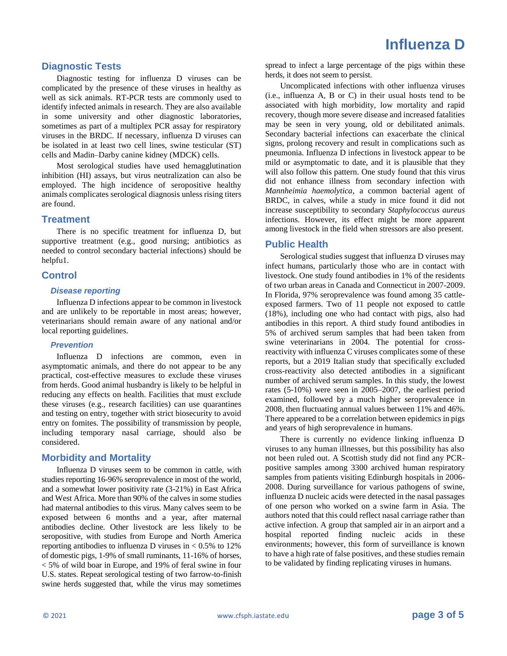## **Diagnostic Tests**

Diagnostic testing for influenza D viruses can be complicated by the presence of these viruses in healthy as well as sick animals. RT-PCR tests are commonly used to identify infected animals in research. They are also available in some university and other diagnostic laboratories, sometimes as part of a multiplex PCR assay for respiratory viruses in the BRDC. If necessary, influenza D viruses can be isolated in at least two cell lines, swine testicular (ST) cells and Madin–Darby canine kidney (MDCK) cells.

Most serological studies have used hemagglutination inhibition (HI) assays, but virus neutralization can also be employed. The high incidence of seropositive healthy animals complicates serological diagnosis unless rising titers are found.

### **Treatment**

There is no specific treatment for influenza D, but supportive treatment (e.g., good nursing; antibiotics as needed to control secondary bacterial infections) should be helpfu1.

#### **Control**

#### *Disease reporting*

Influenza D infections appear to be common in livestock and are unlikely to be reportable in most areas; however, veterinarians should remain aware of any national and/or local reporting guidelines.

#### *Prevention*

Influenza D infections are common, even in asymptomatic animals, and there do not appear to be any practical, cost-effective measures to exclude these viruses from herds. Good animal husbandry is likely to be helpful in reducing any effects on health. Facilities that must exclude these viruses (e.g., research facilities) can use quarantines and testing on entry, together with strict biosecurity to avoid entry on fomites. The possibility of transmission by people, including temporary nasal carriage, should also be considered.

### **Morbidity and Mortality**

Influenza D viruses seem to be common in cattle, with studies reporting 16-96% seroprevalence in most of the world, and a somewhat lower positivity rate (3-21%) in East Africa and West Africa. More than 90% of the calves in some studies had maternal antibodies to this virus. Many calves seem to be exposed between 6 months and a year, after maternal antibodies decline. Other livestock are less likely to be seropositive, with studies from Europe and North America reporting antibodies to influenza D viruses in  $< 0.5\%$  to 12% of domestic pigs, 1-9% of small ruminants, 11-16% of horses, < 5% of wild boar in Europe, and 19% of feral swine in four U.S. states. Repeat serological testing of two farrow-to-finish swine herds suggested that, while the virus may sometimes

spread to infect a large percentage of the pigs within these herds, it does not seem to persist.

Uncomplicated infections with other influenza viruses (i.e., influenza A, B or C) in their usual hosts tend to be associated with high morbidity, low mortality and rapid recovery, though more severe disease and increased fatalities may be seen in very young, old or debilitated animals. Secondary bacterial infections can exacerbate the clinical signs, prolong recovery and result in complications such as pneumonia. Influenza D infections in livestock appear to be mild or asymptomatic to date, and it is plausible that they will also follow this pattern. One study found that this virus did not enhance illness from secondary infection with *Mannheimia haemolytica*, a common bacterial agent of BRDC, in calves, while a study in mice found it did not increase susceptibility to secondary *Staphylococcus aureus* infections. However, its effect might be more apparent among livestock in the field when stressors are also present.

#### **Public Health**

Serological studies suggest that influenza D viruses may infect humans, particularly those who are in contact with livestock. One study found antibodies in 1% of the residents of two urban areas in Canada and Connecticut in 2007-2009. In Florida, 97% seroprevalence was found among 35 cattleexposed farmers. Two of 11 people not exposed to cattle (18%), including one who had contact with pigs, also had antibodies in this report. A third study found antibodies in 5% of archived serum samples that had been taken from swine veterinarians in 2004. The potential for crossreactivity with influenza C viruses complicates some of these reports, but a 2019 Italian study that specifically excluded cross-reactivity also detected antibodies in a significant number of archived serum samples. In this study, the lowest rates (5-10%) were seen in 2005–2007, the earliest period examined, followed by a much higher seroprevalence in 2008, then fluctuating annual values between 11% and 46%. There appeared to be a correlation between epidemics in pigs and years of high seroprevalence in humans.

There is currently no evidence linking influenza D viruses to any human illnesses, but this possibility has also not been ruled out. A Scottish study did not find any PCRpositive samples among 3300 archived human respiratory samples from patients visiting Edinburgh hospitals in 2006- 2008. During surveillance for various pathogens of swine, influenza D nucleic acids were detected in the nasal passages of one person who worked on a swine farm in Asia. The authors noted that this could reflect nasal carriage rather than active infection. A group that sampled air in an airport and a hospital reported finding nucleic acids in these environments; however, this form of surveillance is known to have a high rate of false positives, and these studies remain to be validated by finding replicating viruses in humans.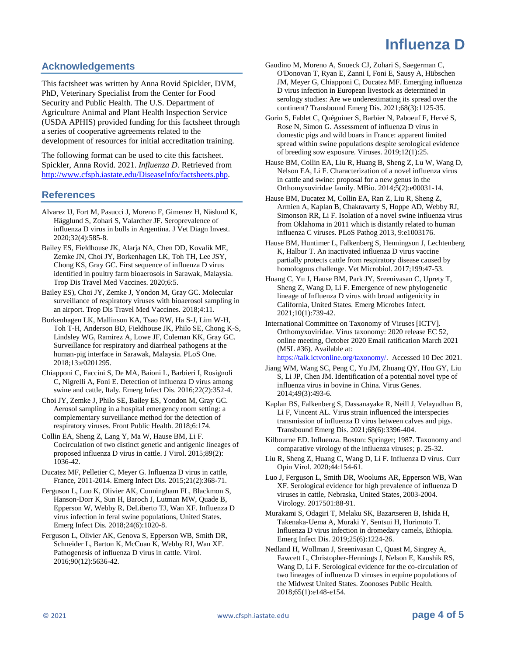# **Influenza D**

## **Acknowledgements**

This factsheet was written by Anna Rovid Spickler, DVM, PhD, Veterinary Specialist from the Center for Food Security and Public Health. The U.S. Department of Agriculture Animal and Plant Health Inspection Service (USDA APHIS) provided funding for this factsheet through a series of cooperative agreements related to the development of resources for initial accreditation training.

The following format can be used to cite this factsheet. Spickler, Anna Rovid. 2021. *Influenza D*. Retrieved from [http://www.cfsph.iastate.edu/DiseaseInfo/factsheets.php.](http://www.cfsph.iastate.edu/DiseaseInfo/factsheets.php) 

#### **References**

- Alvarez IJ, Fort M, Pasucci J, Moreno F, Gimenez H, Näslund K, Hägglund S, Zohari S, Valarcher JF. Seroprevalence of influenza D virus in bulls in Argentina. J Vet Diagn Invest. 2020;32(4):585-8.
- Bailey ES, Fieldhouse JK, Alarja NA, Chen DD, Kovalik ME, Zemke JN, Choi JY, Borkenhagen LK, Toh TH, Lee JSY, Chong KS, Gray GC. First sequence of influenza D virus identified in poultry farm bioaerosols in Sarawak, Malaysia. Trop Dis Travel Med Vaccines. 2020;6:5.
- Bailey ES), Choi JY, Zemke J, Yondon M, Gray GC. Molecular surveillance of respiratory viruses with bioaerosol sampling in an airport. Trop Dis Travel Med Vaccines. 2018;4:11.
- Borkenhagen LK, Mallinson KA, Tsao RW, Ha S-J, Lim W-H, Toh T-H, Anderson BD, Fieldhouse JK, Philo SE, Chong K-S, Lindsley WG, Ramirez A, Lowe JF, Coleman KK, Gray GC. Surveillance for respiratory and diarrheal pathogens at the human-pig interface in Sarawak, Malaysia. PLoS One. 2018;13:e0201295.
- Chiapponi C, Faccini S, De MA, Baioni L, Barbieri I, Rosignoli C, Nigrelli A, Foni E. Detection of influenza D virus among swine and cattle, Italy. Emerg Infect Dis. 2016;22(2):352-4.
- Choi JY, Zemke J, Philo SE, Bailey ES, Yondon M, Gray GC. Aerosol sampling in a hospital emergency room setting: a complementary surveillance method for the detection of respiratory viruses. Front Public Health. 2018;6:174.
- Collin EA, Sheng Z, Lang Y, Ma W, Hause BM, Li F. Cocirculation of two distinct genetic and antigenic lineages of proposed influenza D virus in cattle. J Virol. 2015;89(2): 1036-42.
- Ducatez MF, Pelletier C, Meyer G. Influenza D virus in cattle, France, 2011-2014. Emerg Infect Dis. 2015;21(2):368-71.
- Ferguson L, Luo K, Olivier AK, Cunningham FL, Blackmon S, Hanson-Dorr K, Sun H, Baroch J, Lutman MW, Quade B, Epperson W, Webby R, DeLiberto TJ, Wan XF. Influenza D virus infection in feral swine populations, United States. Emerg Infect Dis. 2018;24(6):1020-8.
- Ferguson L, Olivier AK, Genova S, Epperson WB, Smith DR, Schneider L, Barton K, McCuan K, Webby RJ, Wan XF. Pathogenesis of influenza D virus in cattle. Virol. 2016;90(12):5636-42.
- Gaudino M, Moreno A, Snoeck CJ, Zohari S, Saegerman C, O'Donovan T, Ryan E, Zanni I, Foni E, Sausy A, Hübschen JM, Meyer G, Chiapponi C, Ducatez MF. Emerging influenza D virus infection in European livestock as determined in serology studies: Are we underestimating its spread over the continent? Transbound Emerg Dis. 2021;68(3):1125-35.
- Gorin S, Fablet C, Quéguiner S, Barbier N, Paboeuf F, Hervé S, Rose N, Simon G. Assessment of influenza D virus in domestic pigs and wild boars in France: apparent limited spread within swine populations despite serological evidence of breeding sow exposure. Viruses. 2019;12(1):25.
- Hause BM, Collin EA, Liu R, Huang B, Sheng Z, Lu W, Wang D, Nelson EA, Li F. Characterization of a novel influenza virus in cattle and swine: proposal for a new genus in the Orthomyxoviridae family. MBio. 2014;5(2):e00031-14.
- Hause BM, Ducatez M, Collin EA, Ran Z, Liu R, Sheng Z, Armien A, Kaplan B, Chakravarty S, Hoppe AD, Webby RJ, Simonson RR, Li F. Isolation of a novel swine influenza virus from Oklahoma in 2011 which is distantly related to human influenza C viruses. PLoS Pathog 2013, 9:e1003176.
- Hause BM, Huntimer L, Falkenberg S, Henningson J, Lechtenberg K, Halbur T. An inactivated influenza D virus vaccine partially protects cattle from respiratory disease caused by homologous challenge. Vet Microbiol. 2017;199:47-53.
- Huang C, Yu J, Hause BM, Park JY, Sreenivasan C, Uprety T, Sheng Z, Wang D, Li F. Emergence of new phylogenetic lineage of Influenza D virus with broad antigenicity in California, United States. Emerg Microbes Infect. 2021;10(1):739-42.
- International Committee on Taxonomy of Viruses [ICTV]. Orthomyxoviridae. Virus taxonomy: 2020 release EC 52, online meeting, October 2020 Email ratification March 2021 (MSL #36). Available at:

[https://talk.ictvonline.org/taxonomy/.](https://talk.ictvonline.org/taxonomy/) Accessed 10 Dec 2021.

- Jiang WM, Wang SC, Peng C, Yu JM, Zhuang QY, Hou GY, Liu S, Li JP, Chen JM. Identification of a potential novel type of influenza virus in bovine in China. Virus Genes. 2014;49(3):493-6.
- Kaplan BS, Falkenberg S, Dassanayake R, Neill J, Velayudhan B, Li F, Vincent AL. Virus strain influenced the interspecies transmission of influenza D virus between calves and pigs. Transbound Emerg Dis. 2021;68(6):3396-404.
- Kilbourne ED. Influenza. Boston: Springer; 1987. Taxonomy and comparative virology of the influenza viruses; p. 25-32.
- Liu R, Sheng Z, Huang C, Wang D, Li F. Influenza D virus. Curr Opin Virol. 2020;44:154-61.
- Luo J, Ferguson L, Smith DR, Woolums AR, Epperson WB, Wan XF. Serological evidence for high prevalence of influenza D viruses in cattle, Nebraska, United States, 2003-2004. Virology. 2017501:88-91.
- Murakami S, Odagiri T, Melaku SK, Bazartseren B, Ishida H, Takenaka-Uema A, Muraki Y, Sentsui H, Horimoto T. Influenza D virus infection in dromedary camels, Ethiopia. Emerg Infect Dis. 2019;25(6):1224-26.
- Nedland H, Wollman J, Sreenivasan C, Quast M, Singrey A, Fawcett L, Christopher-Hennings J, Nelson E, Kaushik RS, Wang D, Li F. Serological evidence for the co-circulation of two lineages of influenza D viruses in equine populations of the Midwest United States. Zoonoses Public Health. 2018;65(1):e148-e154.